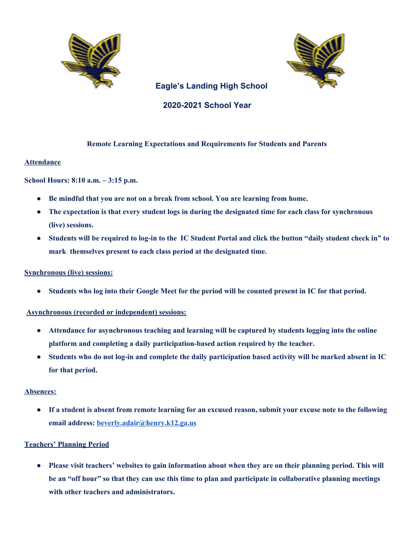



# **Eagle's Landing High School**

# **2020-2021 School Year**

## **Remote Learning Expectations and Requirements for Students and Parents**

## **Attendance**

**School Hours: 8:10 a.m. – 3:15 p.m.**

- **Be mindful that you are not on a break from school. You are learning from home.**
- The expectation is that every student logs in during the designated time for each class for synchronous **(live) sessions.**
- Students will be required to log-in to the IC Student Portal and click the button "daily student check in" to **mark themselves present to each class period at the designated time.**

#### **Synchronous (live) sessions:**

• Students who log into their Google Meet for the period will be counted present in IC for that period.

## **Asynchronous (recorded or independent) sessions:**

- **● Attendance for asynchronous teaching and learning will be captured by students logging into the online platform and completing a daily participation-based action required by the teacher.**
- Students who do not log-in and complete the daily participation based activity will be marked absent in IC **for that period.**

#### **Absences:**

• If a student is absent from remote learning for an excused reason, submit your excuse note to the following **email address: [beverly.adair@henry.k12.ga.us](mailto:beverly.adair@henry.k12.ga.us)**

## **Teachers' Planning Period**

• Please visit teachers' websites to gain information about when they are on their planning period. This will be an "off hour" so that they can use this time to plan and participate in collaborative planning meetings **with other teachers and administrators.**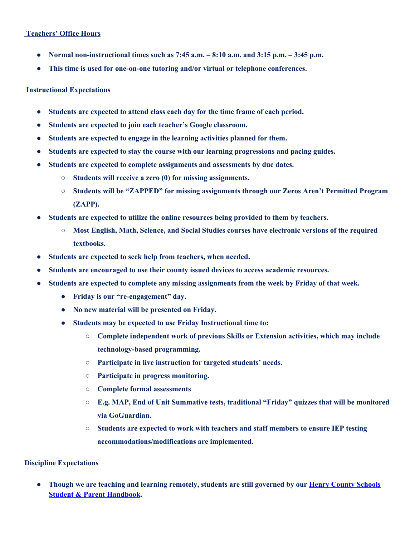## **Teachers' Office Hours**

- **Normal non-instructional times such as 7:45 a.m. – 8:10 a.m. and 3:15 p.m. – 3:45 p.m.**
- **This time is used for one-on-one tutoring and/or virtual or telephone conferences.**

#### **Instructional Expectations**

- **Students are expected to attend class each day for the time frame of each period.**
- **● Students are expected to join each teacher's Google classroom.**
- **Students are expected to engage in the learning activities planned for them.**
- **Students are expected to stay the course with our learning progressions and pacing guides.**
- **Students are expected to complete assignments and assessments by due dates.**
	- **○ Students will receive a zero (0) for missing assignments.**
	- **○ Students will be "ZAPPED" for missing assignments through our Zeros Aren't Permitted Program (ZAPP).**
- **Students are expected to utilize the online resources being provided to them by teachers.**
	- **○ Most English, Math, Science, and Social Studies courses have electronic versions of the required textbooks.**
- **Students are expected to seek help from teachers, when needed.**
- **● Students are encouraged to use their county issued devices to access academic resources.**
- **● Students are expected to complete any missing assignments from the week by Friday of that week.**
	- **● Friday is our "re-engagement" day.**
	- **● No new material will be presented on Friday.**
	- **● Students may be expected to use Friday Instructional time to:**
		- **○ Complete independent work of previous Skills or Extension activities, which may include technology-based programming.**
		- **○ Participate in live instruction for targeted students' needs.**
		- **○ Participate in progress monitoring.**
		- **○ Complete formal assessments**
		- **○ E.g. MAP, End of Unit Summative tests, traditional "Friday" quizzes that will be monitored via GoGuardian.**
		- **○ Students are expected to work with teachers and staff members to ensure IEP testing accommodations/modifications are implemented.**

## **Discipline Expectations**

**● Though we are teaching and learning remotely, students are still governed by our Henry County [Schools](https://drive.google.com/file/d/1tlI2mcccM1lcs9MFWzl7QILg6915sJPd/view) Student & Parent [Handbook](https://drive.google.com/file/d/1tlI2mcccM1lcs9MFWzl7QILg6915sJPd/view).**